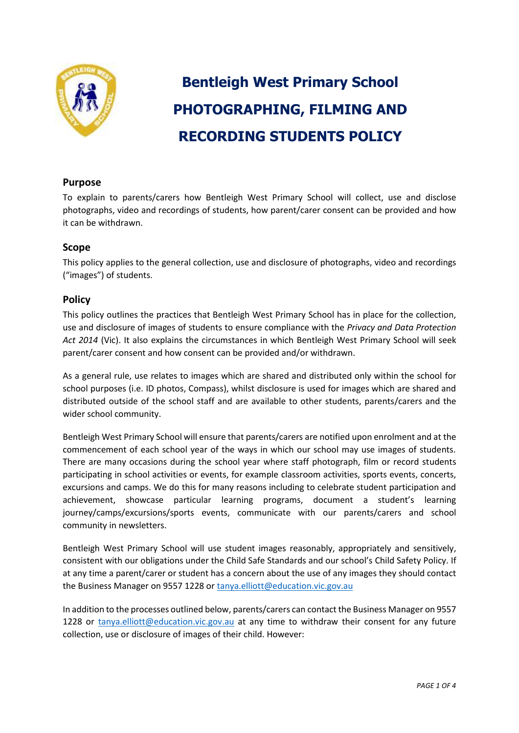

# **Bentleigh West Primary School PHOTOGRAPHING, FILMING AND RECORDING STUDENTS POLICY**

## **Purpose**

To explain to parents/carers how Bentleigh West Primary School will collect, use and disclose photographs, video and recordings of students, how parent/carer consent can be provided and how it can be withdrawn.

#### **Scope**

This policy applies to the general collection, use and disclosure of photographs, video and recordings ("images") of students.

## **Policy**

This policy outlines the practices that Bentleigh West Primary School has in place for the collection, use and disclosure of images of students to ensure compliance with the *Privacy and Data Protection Act 2014* (Vic). It also explains the circumstances in which Bentleigh West Primary School will seek parent/carer consent and how consent can be provided and/or withdrawn.

As a general rule, use relates to images which are shared and distributed only within the school for school purposes (i.e. ID photos, Compass), whilst disclosure is used for images which are shared and distributed outside of the school staff and are available to other students, parents/carers and the wider school community.

Bentleigh West Primary School will ensure that parents/carers are notified upon enrolment and at the commencement of each school year of the ways in which our school may use images of students. There are many occasions during the school year where staff photograph, film or record students participating in school activities or events, for example classroom activities, sports events, concerts, excursions and camps. We do this for many reasons including to celebrate student participation and achievement, showcase particular learning programs, document a student's learning journey/camps/excursions/sports events, communicate with our parents/carers and school community in newsletters.

Bentleigh West Primary School will use student images reasonably, appropriately and sensitively, consistent with our obligations under the Child Safe Standards and our school's Child Safety Policy. If at any time a parent/carer or student has a concern about the use of any images they should contact the Business Manager on 9557 1228 or [tanya.elliott@education.vic.gov.au](mailto:tanya.elliott@education.vic.gov.au)

In addition to the processes outlined below, parents/carers can contact the Business Manager on 9557 1228 or [tanya.elliott@education.vic.gov.au](mailto:tanya.elliott@education.vic.gov.au) at any time to withdraw their consent for any future collection, use or disclosure of images of their child. However: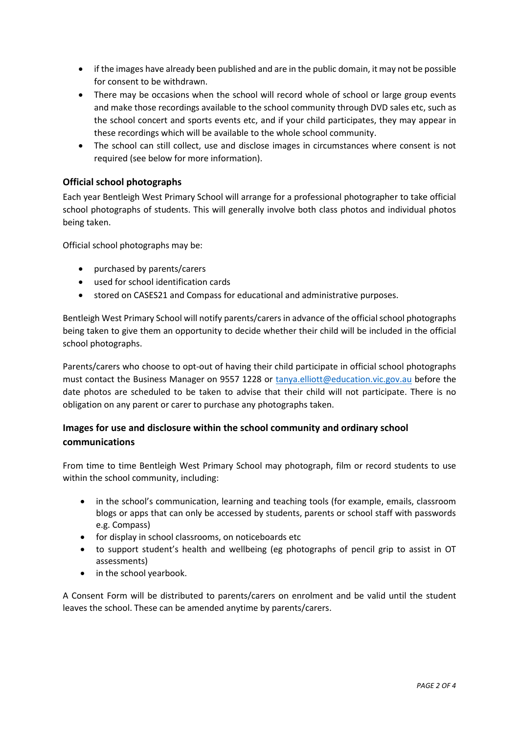- if the images have already been published and are in the public domain, it may not be possible for consent to be withdrawn.
- There may be occasions when the school will record whole of school or large group events and make those recordings available to the school community through DVD sales etc, such as the school concert and sports events etc, and if your child participates, they may appear in these recordings which will be available to the whole school community.
- The school can still collect, use and disclose images in circumstances where consent is not required (see below for more information).

#### **Official school photographs**

Each year Bentleigh West Primary School will arrange for a professional photographer to take official school photographs of students. This will generally involve both class photos and individual photos being taken.

Official school photographs may be:

- purchased by parents/carers
- used for school identification cards
- stored on CASES21 and Compass for educational and administrative purposes.

Bentleigh West Primary School will notify parents/carers in advance of the official school photographs being taken to give them an opportunity to decide whether their child will be included in the official school photographs.

Parents/carers who choose to opt-out of having their child participate in official school photographs must contact the Business Manager on 9557 1228 or [tanya.elliott@education.vic.gov.au](mailto:tanya.elliott@education.vic.gov.au) before the date photos are scheduled to be taken to advise that their child will not participate. There is no obligation on any parent or carer to purchase any photographs taken.

# **Images for use and disclosure within the school community and ordinary school communications**

From time to time Bentleigh West Primary School may photograph, film or record students to use within the school community, including:

- in the school's communication, learning and teaching tools (for example, emails, classroom blogs or apps that can only be accessed by students, parents or school staff with passwords e.g. Compass)
- for display in school classrooms, on noticeboards etc
- to support student's health and wellbeing (eg photographs of pencil grip to assist in OT assessments)
- in the school yearbook.

A Consent Form will be distributed to parents/carers on enrolment and be valid until the student leaves the school. These can be amended anytime by parents/carers.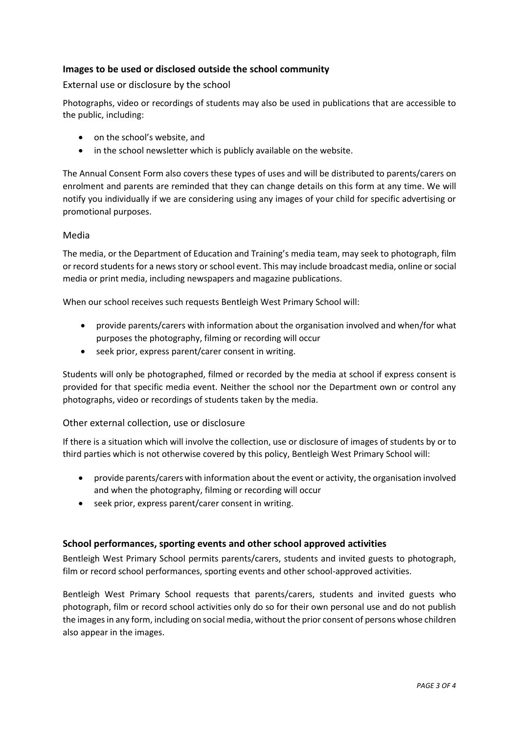## **Images to be used or disclosed outside the school community**

External use or disclosure by the school

Photographs, video or recordings of students may also be used in publications that are accessible to the public, including:

- on the school's website, and
- in the school newsletter which is publicly available on the website.

The Annual Consent Form also covers these types of uses and will be distributed to parents/carers on enrolment and parents are reminded that they can change details on this form at any time. We will notify you individually if we are considering using any images of your child for specific advertising or promotional purposes.

#### Media

The media, or the Department of Education and Training's media team, may seek to photograph, film or record students for a news story or school event. This may include broadcast media, online or social media or print media, including newspapers and magazine publications.

When our school receives such requests Bentleigh West Primary School will:

- provide parents/carers with information about the organisation involved and when/for what purposes the photography, filming or recording will occur
- seek prior, express parent/carer consent in writing.

Students will only be photographed, filmed or recorded by the media at school if express consent is provided for that specific media event. Neither the school nor the Department own or control any photographs, video or recordings of students taken by the media.

## Other external collection, use or disclosure

If there is a situation which will involve the collection, use or disclosure of images of students by or to third parties which is not otherwise covered by this policy, Bentleigh West Primary School will:

- provide parents/carers with information about the event or activity, the organisation involved and when the photography, filming or recording will occur
- seek prior, express parent/carer consent in writing.

## **School performances, sporting events and other school approved activities**

Bentleigh West Primary School permits parents/carers, students and invited guests to photograph, film or record school performances, sporting events and other school-approved activities.

Bentleigh West Primary School requests that parents/carers, students and invited guests who photograph, film or record school activities only do so for their own personal use and do not publish the images in any form, including on social media, without the prior consent of persons whose children also appear in the images.